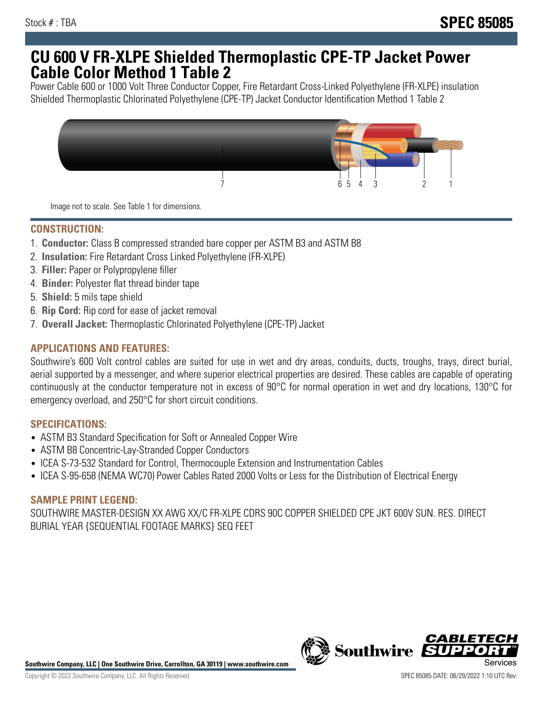## **CU 600 V FR-XLPE Shielded Thermoplastic CPE-TP Jacket Power Cable Color Method 1 Table 2**

Power Cable 600 or 1000 Volt Three Conductor Copper, Fire Retardant Cross-Linked Polyethylene (FR-XLPE) insulation Shielded Thermoplastic Chlorinated Polyethylene (CPE-TP) Jacket Conductor Identification Method 1 Table 2



Image not to scale. See Table 1 for dimensions.

## **CONSTRUCTION:**

- 1. **Conductor:** Class B compressed stranded bare copper per ASTM B3 and ASTM B8
- 2. **Insulation:** Fire Retardant Cross Linked Polyethylene (FR-XLPE)
- 3. **Filler:** Paper or Polypropylene filler
- 4. **Binder:** Polyester flat thread binder tape
- 5. **Shield:** 5 mils tape shield
- 6. **Rip Cord:** Rip cord for ease of jacket removal
- 7. **Overall Jacket:** Thermoplastic Chlorinated Polyethylene (CPE-TP) Jacket

### **APPLICATIONS AND FEATURES:**

Southwire's 600 Volt control cables are suited for use in wet and dry areas, conduits, ducts, troughs, trays, direct burial, aerial supported by a messenger, and where superior electrical properties are desired. These cables are capable of operating continuously at the conductor temperature not in excess of 90°C for normal operation in wet and dry locations, 130°C for emergency overload, and 250°C for short circuit conditions.

#### **SPECIFICATIONS:**

- ASTM B3 Standard Specification for Soft or Annealed Copper Wire
- ASTM B8 Concentric-Lay-Stranded Copper Conductors
- ICEA S-73-532 Standard for Control, Thermocouple Extension and Instrumentation Cables
- ICEA S-95-658 (NEMA WC70) Power Cables Rated 2000 Volts or Less for the Distribution of Electrical Energy

#### **SAMPLE PRINT LEGEND:**

SOUTHWIRE MASTER-DESIGN XX AWG XX/C FR-XLPE CDRS 90C COPPER SHIELDED CPE JKT 600V SUN. RES. DIRECT BURIAL YEAR {SEQUENTIAL FOOTAGE MARKS} SEQ FEET